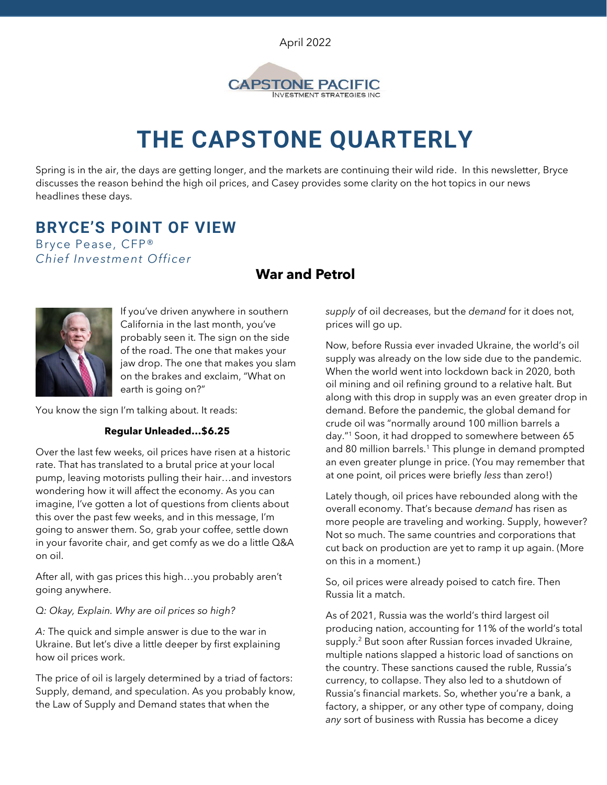April 2022



# **THE CAPSTONE QUARTERLY**

Spring is in the air, the days are getting longer, and the markets are continuing their wild ride. In this newsletter, Bryce discusses the reason behind the high oil prices, and Casey provides some clarity on the hot topics in our news headlines these days.

## **BRYCE'S POINT OF VIEW**

Bryce Pease, CFP® *Chief Investment Officer*

## **War and Petrol**



If you've driven anywhere in southern California in the last month, you've probably seen it. The sign on the side of the road. The one that makes your jaw drop. The one that makes you slam on the brakes and exclaim, "What on earth is going on?"

You know the sign I'm talking about. It reads:

#### **Regular Unleaded…\$6.25**

Over the last few weeks, oil prices have risen at a historic rate. That has translated to a brutal price at your local pump, leaving motorists pulling their hair…and investors wondering how it will affect the economy. As you can imagine, I've gotten a lot of questions from clients about this over the past few weeks, and in this message, I'm going to answer them. So, grab your coffee, settle down in your favorite chair, and get comfy as we do a little Q&A on oil.

After all, with gas prices this high…you probably aren't going anywhere.

#### *Q: Okay, Explain. Why are oil prices so high?*

*A:* The quick and simple answer is due to the war in Ukraine. But let's dive a little deeper by first explaining how oil prices work.

The price of oil is largely determined by a triad of factors: Supply, demand, and speculation. As you probably know, the Law of Supply and Demand states that when the

*supply* of oil decreases, but the *demand* for it does not, prices will go up.

Now, before Russia ever invaded Ukraine, the world's oil supply was already on the low side due to the pandemic. When the world went into lockdown back in 2020, both oil mining and oil refining ground to a relative halt. But along with this drop in supply was an even greater drop in demand. Before the pandemic, the global demand for crude oil was "normally around 100 million barrels a day."<sup>1</sup> Soon, it had dropped to somewhere between 65 and 80 million barrels.<sup>1</sup> This plunge in demand prompted an even greater plunge in price. (You may remember that at one point, oil prices were briefly *less* than zero!)

Lately though, oil prices have rebounded along with the overall economy. That's because *demand* has risen as more people are traveling and working. Supply, however? Not so much. The same countries and corporations that cut back on production are yet to ramp it up again. (More on this in a moment.)

So, oil prices were already poised to catch fire. Then Russia lit a match.

As of 2021, Russia was the world's third largest oil producing nation, accounting for 11% of the world's total supply.<sup>2</sup> But soon after Russian forces invaded Ukraine, multiple nations slapped a historic load of sanctions on the country. These sanctions caused the ruble, Russia's currency, to collapse. They also led to a shutdown of Russia's financial markets. So, whether you're a bank, a factory, a shipper, or any other type of company, doing *any* sort of business with Russia has become a dicey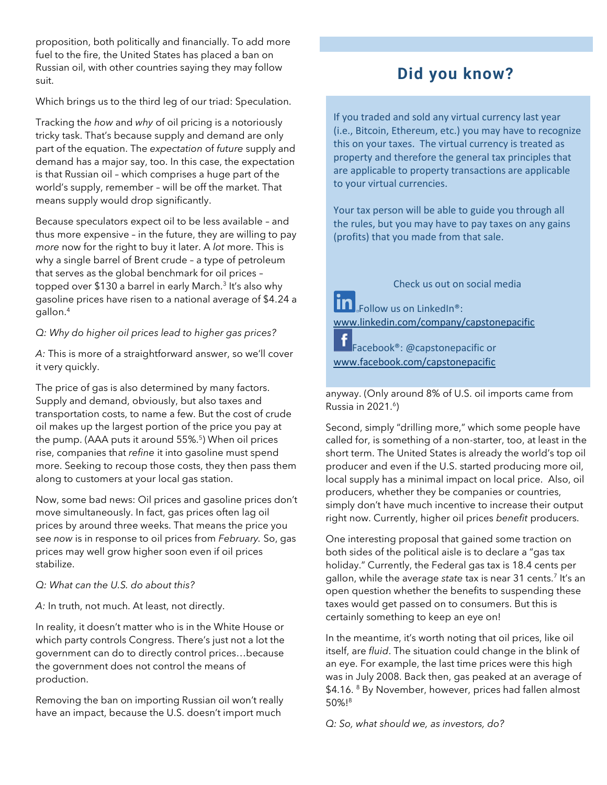proposition, both politically and financially. To add more fuel to the fire, the United States has placed a ban on Russian oil, with other countries saying they may follow suit.

Which brings us to the third leg of our triad: Speculation.

Tracking the *how* and *why* of oil pricing is a notoriously tricky task. That's because supply and demand are only part of the equation. The *expectation* of *future* supply and demand has a major say, too. In this case, the expectation is that Russian oil – which comprises a huge part of the world's supply, remember – will be off the market. That means supply would drop significantly.

Because speculators expect oil to be less available – and thus more expensive – in the future, they are willing to pay *more* now for the right to buy it later. A *lot* more. This is why a single barrel of Brent crude – a type of petroleum that serves as the global benchmark for oil prices – topped over \$130 a barrel in early March.<sup>3</sup> It's also why gasoline prices have risen to a national average of \$4.24 a gallon.<sup>4</sup>

#### *Q: Why do higher oil prices lead to higher gas prices?*

*A:* This is more of a straightforward answer, so we'll cover it very quickly.

The price of gas is also determined by many factors. Supply and demand, obviously, but also taxes and transportation costs, to name a few. But the cost of crude oil makes up the largest portion of the price you pay at the pump. (AAA puts it around 55%.<sup>5</sup>) When oil prices rise, companies that *refine* it into gasoline must spend more. Seeking to recoup those costs, they then pass them along to customers at your local gas station.

Now, some bad news: Oil prices and gasoline prices don't move simultaneously. In fact, gas prices often lag oil prices by around three weeks. That means the price you see *now* is in response to oil prices from *February.* So, gas prices may well grow higher soon even if oil prices stabilize.

*Q: What can the U.S. do about this?* 

*A:* In truth, not much. At least, not directly.

In reality, it doesn't matter who is in the White House or which party controls Congress. There's just not a lot the government can do to directly control prices…because the government does not control the means of production.

Removing the ban on importing Russian oil won't really have an impact, because the U.S. doesn't import much

## **Did you know?**

If you traded and sold any virtual currency last year (i.e., Bitcoin, Ethereum, etc.) you may have to recognize this on your taxes. The virtual currency is treated as property and therefore the general tax principles that are applicable to property transactions are applicable to your virtual currencies.

Your tax person will be able to guide you through all the rules, but you may have to pay taxes on any gains (profits) that you made from that sale.

Check us out on social media

**In** Follow us on LinkedIn<sup>®</sup>: [www.linkedin.com/company/capstonepacific](http://www.linkedin.com/company/capstonepacific)

Facebook®: @capstonepacific or [www.facebook.com/capstonepacific](http://www.facebook.com/capstonepacific)

anyway. (Only around 8% of U.S. oil imports came from Russia in 2021.<sup>6</sup>)

Second, simply "drilling more," which some people have called for, is something of a non-starter, too, at least in the short term. The United States is already the world's top oil producer and even if the U.S. started producing more oil, local supply has a minimal impact on local price. Also, oil producers, whether they be companies or countries, simply don't have much incentive to increase their output right now. Currently, higher oil prices *benefit* producers.

One interesting proposal that gained some traction on both sides of the political aisle is to declare a "gas tax holiday." Currently, the Federal gas tax is 18.4 cents per gallon, while the average *state* tax is near 31 cents.<sup>7</sup> It's an open question whether the benefits to suspending these taxes would get passed on to consumers. But this is certainly something to keep an eye on!

In the meantime, it's worth noting that oil prices, like oil itself, are *fluid*. The situation could change in the blink of an eye. For example, the last time prices were this high was in July 2008. Back then, gas peaked at an average of \$4.16. <sup>8</sup> By November, however, prices had fallen almost 50%!<sup>8</sup>

*Q: So, what should we, as investors, do?*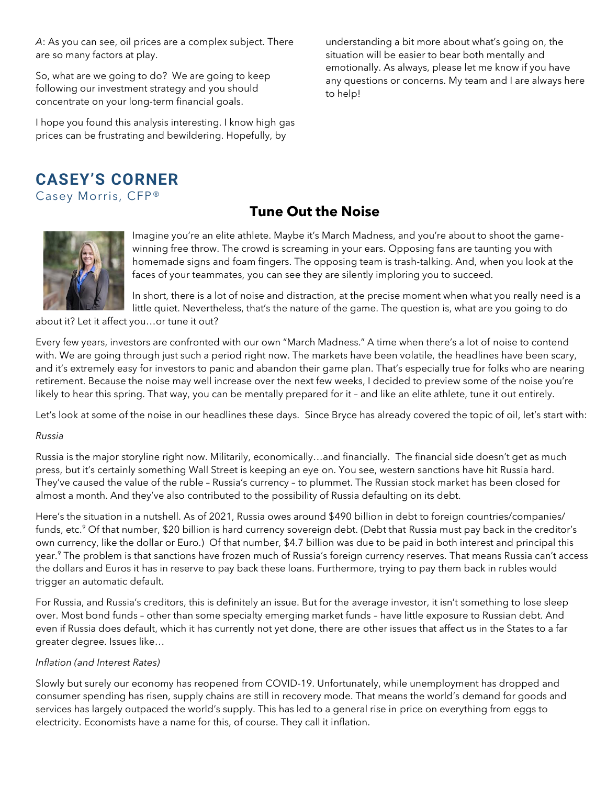*A*: As you can see, oil prices are a complex subject. There are so many factors at play.

So, what are we going to do? We are going to keep following our investment strategy and you should concentrate on your long-term financial goals.

I hope you found this analysis interesting. I know high gas prices can be frustrating and bewildering. Hopefully, by

understanding a bit more about what's going on, the situation will be easier to bear both mentally and emotionally. As always, please let me know if you have any questions or concerns. My team and I are always here to help!

## **CASEY'S CORNER**  Casey Morris, CFP®

## **Tune Out the Noise**



Imagine you're an elite athlete. Maybe it's March Madness, and you're about to shoot the gamewinning free throw. The crowd is screaming in your ears. Opposing fans are taunting you with homemade signs and foam fingers. The opposing team is trash-talking. And, when you look at the faces of your teammates, you can see they are silently imploring you to succeed.

In short, there is a lot of noise and distraction, at the precise moment when what you really need is a little quiet. Nevertheless, that's the nature of the game. The question is, what are you going to do

about it? Let it affect you…or tune it out?

Every few years, investors are confronted with our own "March Madness." A time when there's a lot of noise to contend with. We are going through just such a period right now. The markets have been volatile, the headlines have been scary, and it's extremely easy for investors to panic and abandon their game plan. That's especially true for folks who are nearing retirement. Because the noise may well increase over the next few weeks, I decided to preview some of the noise you're likely to hear this spring. That way, you can be mentally prepared for it – and like an elite athlete, tune it out entirely.

Let's look at some of the noise in our headlines these days. Since Bryce has already covered the topic of oil, let's start with:

#### *Russia*

Russia is the major storyline right now. Militarily, economically…and financially. The financial side doesn't get as much press, but it's certainly something Wall Street is keeping an eye on. You see, western sanctions have hit Russia hard. They've caused the value of the ruble – Russia's currency – to plummet. The Russian stock market has been closed for almost a month. And they've also contributed to the possibility of Russia defaulting on its debt.

Here's the situation in a nutshell. As of 2021, Russia owes around \$490 billion in debt to foreign countries/companies/ funds, etc.<sup>9</sup> Of that number, \$20 billion is hard currency sovereign debt. (Debt that Russia must pay back in the creditor's own currency, like the dollar or Euro.) Of that number, \$4.7 billion was due to be paid in both interest and principal this year.<sup>9</sup> The problem is that sanctions have frozen much of Russia's foreign currency reserves. That means Russia can't access the dollars and Euros it has in reserve to pay back these loans. Furthermore, trying to pay them back in rubles would trigger an automatic default.

For Russia, and Russia's creditors, this is definitely an issue. But for the average investor, it isn't something to lose sleep over. Most bond funds – other than some specialty emerging market funds – have little exposure to Russian debt. And even if Russia does default, which it has currently not yet done, there are other issues that affect us in the States to a far greater degree. Issues like…

### *Inflation (and Interest Rates)*

Slowly but surely our economy has reopened from COVID-19. Unfortunately, while unemployment has dropped and consumer spending has risen, supply chains are still in recovery mode. That means the world's demand for goods and services has largely outpaced the world's supply. This has led to a general rise in price on everything from eggs to electricity. Economists have a name for this, of course. They call it inflation.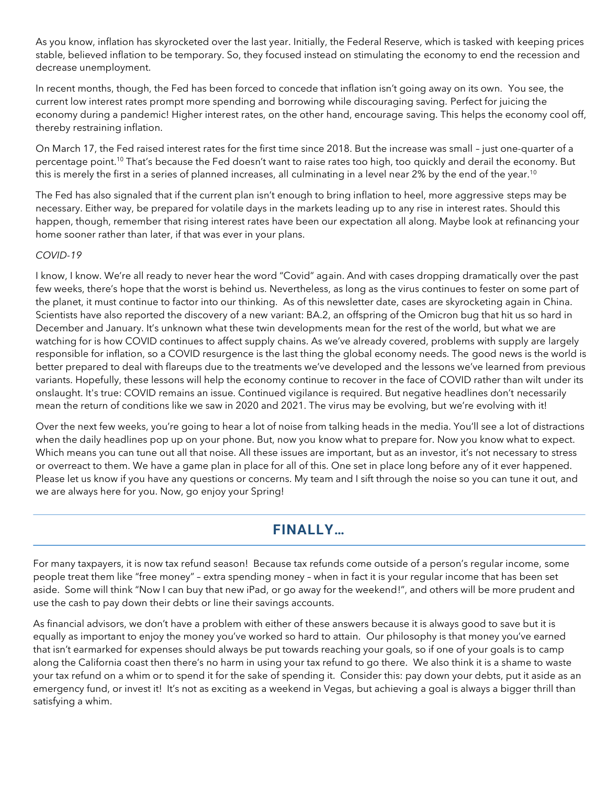As you know, inflation has skyrocketed over the last year. Initially, the Federal Reserve, which is tasked with keeping prices stable, believed inflation to be temporary. So, they focused instead on stimulating the economy to end the recession and decrease unemployment.

In recent months, though, the Fed has been forced to concede that inflation isn't going away on its own. You see, the current low interest rates prompt more spending and borrowing while discouraging saving. Perfect for juicing the economy during a pandemic! Higher interest rates, on the other hand, encourage saving. This helps the economy cool off, thereby restraining inflation.

On March 17, the Fed raised interest rates for the first time since 2018. But the increase was small – just one-quarter of a percentage point.<sup>10</sup> That's because the Fed doesn't want to raise rates too high, too quickly and derail the economy. But this is merely the first in a series of planned increases, all culminating in a level near 2% by the end of the year.<sup>10</sup>

The Fed has also signaled that if the current plan isn't enough to bring inflation to heel, more aggressive steps may be necessary. Either way, be prepared for volatile days in the markets leading up to any rise in interest rates. Should this happen, though, remember that rising interest rates have been our expectation all along. Maybe look at refinancing your home sooner rather than later, if that was ever in your plans.

#### *COVID-19*

I know, I know. We're all ready to never hear the word "Covid" again. And with cases dropping dramatically over the past few weeks, there's hope that the worst is behind us. Nevertheless, as long as the virus continues to fester on some part of the planet, it must continue to factor into our thinking. As of this newsletter date, cases are skyrocketing again in China. Scientists have also reported the discovery of a new variant: BA.2, an offspring of the Omicron bug that hit us so hard in December and January. It's unknown what these twin developments mean for the rest of the world, but what we are watching for is how COVID continues to affect supply chains. As we've already covered, problems with supply are largely responsible for inflation, so a COVID resurgence is the last thing the global economy needs. The good news is the world is better prepared to deal with flareups due to the treatments we've developed and the lessons we've learned from previous variants. Hopefully, these lessons will help the economy continue to recover in the face of COVID rather than wilt under its onslaught. It's true: COVID remains an issue. Continued vigilance is required. But negative headlines don't necessarily mean the return of conditions like we saw in 2020 and 2021. The virus may be evolving, but we're evolving with it!

Over the next few weeks, you're going to hear a lot of noise from talking heads in the media. You'll see a lot of distractions when the daily headlines pop up on your phone. But, now you know what to prepare for. Now you know what to expect. Which means you can tune out all that noise. All these issues are important, but as an investor, it's not necessary to stress or overreact to them. We have a game plan in place for all of this. One set in place long before any of it ever happened. Please let us know if you have any questions or concerns. My team and I sift through the noise so you can tune it out, and we are always here for you. Now, go enjoy your Spring!

## FINALLY…

For many taxpayers, it is now tax refund season! Because tax refunds come outside of a person's regular income, some people treat them like "free money" – extra spending money – when in fact it is your regular income that has been set aside. Some will think "Now I can buy that new iPad, or go away for the weekend!", and others will be more prudent and use the cash to pay down their debts or line their savings accounts.

As financial advisors, we don't have a problem with either of these answers because it is always good to save but it is equally as important to enjoy the money you've worked so hard to attain. Our philosophy is that money you've earned that isn't earmarked for expenses should always be put towards reaching your goals, so if one of your goals is to camp along the California coast then there's no harm in using your tax refund to go there. We also think it is a shame to waste your tax refund on a whim or to spend it for the sake of spending it. Consider this: pay down your debts, put it aside as an emergency fund, or invest it! It's not as exciting as a weekend in Vegas, but achieving a goal is always a bigger thrill than satisfying a whim.